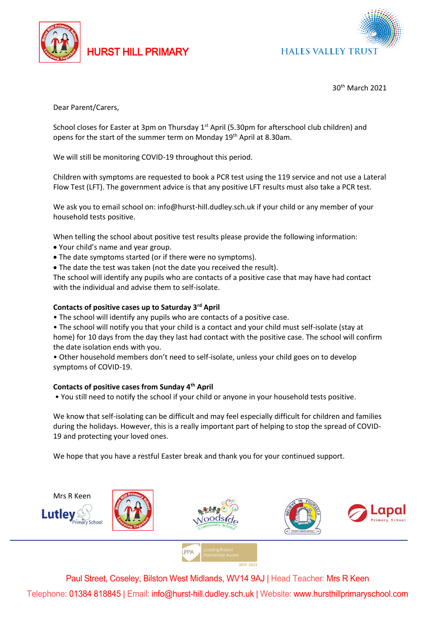

HURST HILL PRIMARY



## 30th March 2021

Dear Parent/Carers,

School closes for Easter at 3pm on Thursday  $1<sup>st</sup>$  April (5.30pm for afterschool club children) and opens for the start of the summer term on Monday 19th April at 8.30am.

We will still be monitoring COVID-19 throughout this period.

Children with symptoms are requested to book a PCR test using the 119 service and not use a Lateral Flow Test (LFT). The government advice is that any positive LFT results must also take a PCR test.

We ask you to email school on: info@hurst-hill.dudley.sch.uk if your child or any member of your household tests positive.

When telling the school about positive test results please provide the following information:

- Your child's name and year group.
- The date symptoms started (or if there were no symptoms).
- The date the test was taken (not the date you received the result).

The school will identify any pupils who are contacts of a positive case that may have had contact with the individual and advise them to self-isolate.

## **Contacts of positive cases up to Saturday 3rd April**

- The school will identify any pupils who are contacts of a positive case.
- The school will notify you that your child is a contact and your child must self-isolate (stay at home) for 10 days from the day they last had contact with the positive case. The school will confirm the date isolation ends with you.

• Other household members don't need to self-isolate, unless your child goes on to develop symptoms of COVID-19.

## **Contacts of positive cases from Sunday 4th April**

• You still need to notify the school if your child or anyone in your household tests positive.

We know that self-isolating can be difficult and may feel especially difficult for children and families during the holidays. However, this is a really important part of helping to stop the spread of COVID-19 and protecting your loved ones.

We hope that you have a restful Easter break and thank you for your continued support.



Paul Street, Coseley, Bilston West Midlands, WV14 9AJ | Head Teacher: Mrs R Keen Telephone: 01384 818845 | Email: info@hurst-hill.dudley.sch.uk | Website: www.hursthillprimaryschool.com